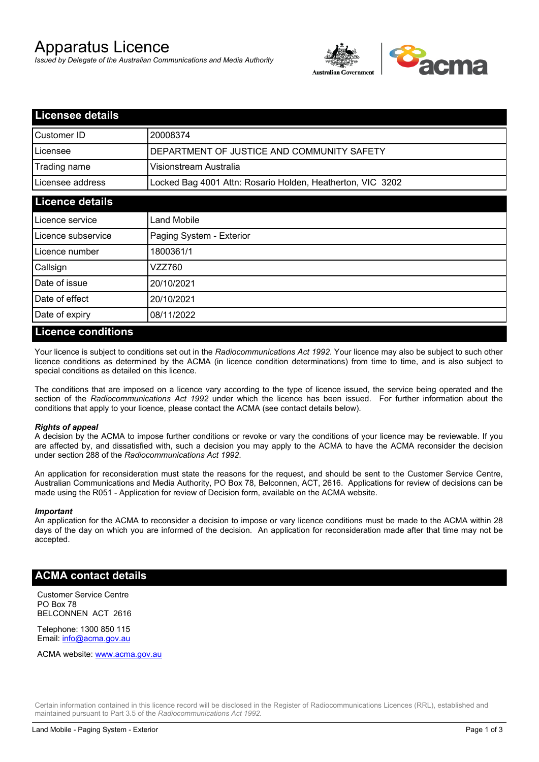# Apparatus Licence

*Issued by Delegate of the Australian Communications and Media Authority*



| <b>Licensee details</b> |                                                            |
|-------------------------|------------------------------------------------------------|
| Customer ID             | 20008374                                                   |
| Licensee                | DEPARTMENT OF JUSTICE AND COMMUNITY SAFETY                 |
| Trading name            | Visionstream Australia                                     |
| Licensee address        | Locked Bag 4001 Attn: Rosario Holden, Heatherton, VIC 3202 |
| <b>Licence details</b>  |                                                            |
| l Licence service       | Land Mobile                                                |
| Licence subservice      | Paging System - Exterior                                   |
| l Licence number        | 1800361/1                                                  |
| Callsign                | VZZ760                                                     |
| Date of issue           | 20/10/2021                                                 |
| Date of effect          | 20/10/2021                                                 |
| Date of expiry          | 08/11/2022                                                 |

#### **Licence conditions**

Your licence is subject to conditions set out in the *Radiocommunications Act 1992*. Your licence may also be subject to such other licence conditions as determined by the ACMA (in licence condition determinations) from time to time, and is also subject to special conditions as detailed on this licence.

The conditions that are imposed on a licence vary according to the type of licence issued, the service being operated and the section of the *Radiocommunications Act 1992* under which the licence has been issued. For further information about the conditions that apply to your licence, please contact the ACMA (see contact details below).

#### *Rights of appeal*

A decision by the ACMA to impose further conditions or revoke or vary the conditions of your licence may be reviewable. If you are affected by, and dissatisfied with, such a decision you may apply to the ACMA to have the ACMA reconsider the decision under section 288 of the *Radiocommunications Act 1992*.

An application for reconsideration must state the reasons for the request, and should be sent to the Customer Service Centre, Australian Communications and Media Authority, PO Box 78, Belconnen, ACT, 2616. Applications for review of decisions can be made using the R051 - Application for review of Decision form, available on the ACMA website.

#### *Important*

An application for the ACMA to reconsider a decision to impose or vary licence conditions must be made to the ACMA within 28 days of the day on which you are informed of the decision. An application for reconsideration made after that time may not be accepted.

#### **ACMA contact details**

Customer Service Centre PO Box 78 BELCONNEN ACT 2616

Telephone: 1300 850 115 Email: info@acma.gov.au

ACMA website: www.acma.gov.au

Certain information contained in this licence record will be disclosed in the Register of Radiocommunications Licences (RRL), established and maintained pursuant to Part 3.5 of the *Radiocommunications Act 1992.*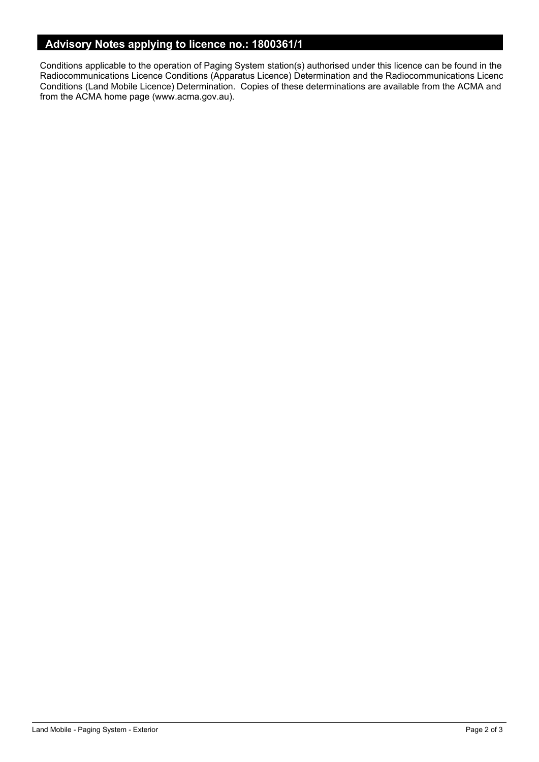## **Advisory Notes applying to licence no.: 1800361/1**

Conditions applicable to the operation of Paging System station(s) authorised under this licence can be found in the Radiocommunications Licence Conditions (Apparatus Licence) Determination and the Radiocommunications Licence Conditions (Land Mobile Licence) Determination. Copies of these determinations are available from the ACMA and from the ACMA home page (www.acma.gov.au).